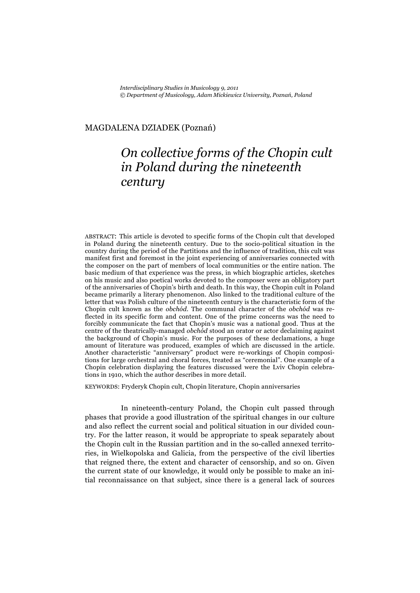*Interdisciplinary Studies in Musicology 9, 2011 © Department of Musicology, Adam Mickiewicz University, Poznań, Poland* 

## MAGDALENA DZIADEK (Poznań)

## *On collective forms of the Chopin cult in Poland during the nineteenth century*

ABSTRACT: This article is devoted to specific forms of the Chopin cult that developed in Poland during the nineteenth century. Due to the socio-political situation in the country during the period of the Partitions and the influence of tradition, this cult was manifest first and foremost in the joint experiencing of anniversaries connected with the composer on the part of members of local communities or the entire nation. The basic medium of that experience was the press, in which biographic articles, sketches on his music and also poetical works devoted to the composer were an obligatory part of the anniversaries of Chopin's birth and death. In this way, the Chopin cult in Poland became primarily a literary phenomenon. Also linked to the traditional culture of the letter that was Polish culture of the nineteenth century is the characteristic form of the Chopin cult known as the *obchód*. The communal character of the *obchód* was reflected in its specific form and content. One of the prime concerns was the need to forcibly communicate the fact that Chopin's music was a national good. Thus at the centre of the theatrically-managed *obchód* stood an orator or actor declaiming against the background of Chopin's music. For the purposes of these declamations, a huge amount of literature was produced, examples of which are discussed in the article. Another characteristic "anniversary" product were re-workings of Chopin compositions for large orchestral and choral forces, treated as "ceremonial". One example of a Chopin celebration displaying the features discussed were the Lviv Chopin celebrations in 1910, which the author describes in more detail.

KEYWORDS: Fryderyk Chopin cult, Chopin literature, Chopin anniversaries

In nineteenth-century Poland, the Chopin cult passed through phases that provide a good illustration of the spiritual changes in our culture and also reflect the current social and political situation in our divided country. For the latter reason, it would be appropriate to speak separately about the Chopin cult in the Russian partition and in the so-called annexed territories, in Wielkopolska and Galicia, from the perspective of the civil liberties that reigned there, the extent and character of censorship, and so on. Given the current state of our knowledge, it would only be possible to make an initial reconnaissance on that subject, since there is a general lack of sources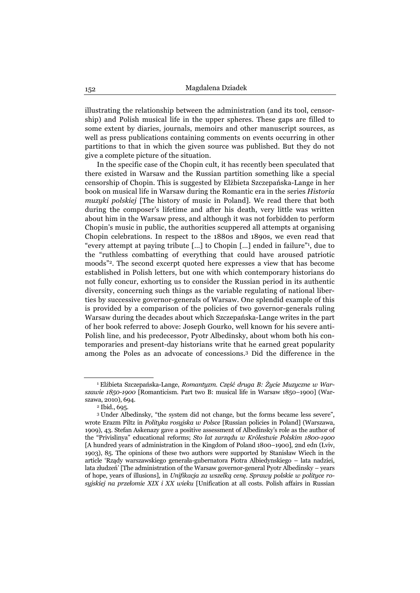illustrating the relationship between the administration (and its tool, censorship) and Polish musical life in the upper spheres. These gaps are filled to some extent by diaries, journals, memoirs and other manuscript sources, as well as press publications containing comments on events occurring in other partitions to that in which the given source was published. But they do not give a complete picture of the situation.

In the specific case of the Chopin cult, it has recently been speculated that there existed in Warsaw and the Russian partition something like a special censorship of Chopin. This is suggested by Elżbieta Szczepańska-Lange in her book on musical life in Warsaw during the Romantic era in the series *Historia muzyki polskiej* [The history of music in Poland]. We read there that both during the composer's lifetime and after his death, very little was written about him in the Warsaw press, and although it was not forbidden to perform Chopin's music in public, the authorities scuppered all attempts at organising Chopin celebrations. In respect to the 1880s and 1890s, we even read that "every attempt at paying tribute […] to Chopin […] ended in failure"1, due to the "ruthless combatting of everything that could have aroused patriotic moods"2. The second excerpt quoted here expresses a view that has become established in Polish letters, but one with which contemporary historians do not fully concur, exhorting us to consider the Russian period in its authentic diversity, concerning such things as the variable regulating of national liberties by successive governor-generals of Warsaw. One splendid example of this is provided by a comparison of the policies of two governor-generals ruling Warsaw during the decades about which Szczepańska-Lange writes in the part of her book referred to above: Joseph Gourko, well known for his severe anti-Polish line, and his predecessor, Pyotr Albedinsky, about whom both his contemporaries and present-day historians write that he earned great popularity among the Poles as an advocate of concessions.3 Did the difference in the

<sup>1</sup> Elżbieta Szczepańska-Lange, *Romantyzm. Część druga B: Życie Muzyczne w Warszawie 1850-1900* [Romanticism. Part two B: musical life in Warsaw 1850–1900] (Warszawa, 2010), 694.<br><sup>2</sup> Ibid., 695.

<sup>3</sup> Under Albedinsky, "the system did not change, but the forms became less severe", wrote Erazm Piltz in *Polityka rosyjska w Polsce* [Russian policies in Poland] (Warszawa, 1909), 43. Stefan Askenazy gave a positive assessment of Albedinsky's role as the author of the "Privislinya" educational reforms; *Sto lat zarządu w Królestwie Polskim 1800-1900*  [A hundred years of administration in the Kingdom of Poland 1800–1900], 2nd edn (Lviv, 1903), 85. The opinions of these two authors were supported by Stanisław Wiech in the article 'Rządy warszawskiego generała-gubernatora Piotra Albiedynskiego – lata nadziei, lata złudzeń' [The administration of the Warsaw governor-general Pyotr Albedinsky – years of hope, years of illusions], in *Unifikacja za wszelką cenę. Sprawy polskie w polityce rosyjskiej na przełomie XIX i XX wieku* [Unification at all costs. Polish affairs in Russian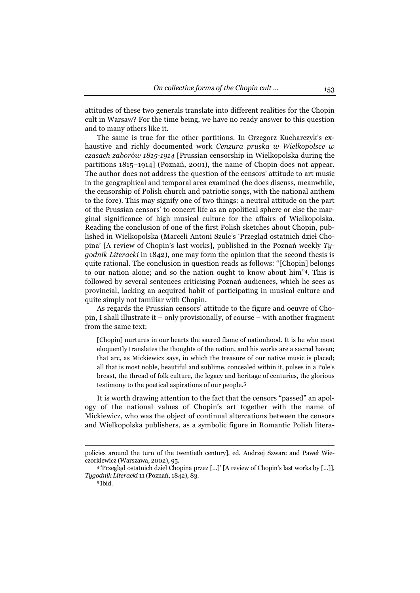attitudes of these two generals translate into different realities for the Chopin cult in Warsaw? For the time being, we have no ready answer to this question and to many others like it.

The same is true for the other partitions. In Grzegorz Kucharczyk's exhaustive and richly documented work *Cenzura pruska w Wielkopolsce w czasach zaborów 1815-1914* [Prussian censorship in Wielkopolska during the partitions 1815–1914] (Poznań, 2001), the name of Chopin does not appear. The author does not address the question of the censors' attitude to art music in the geographical and temporal area examined (he does discuss, meanwhile, the censorship of Polish church and patriotic songs, with the national anthem to the fore). This may signify one of two things: a neutral attitude on the part of the Prussian censors' to concert life as an apolitical sphere or else the marginal significance of high musical culture for the affairs of Wielkopolska. Reading the conclusion of one of the first Polish sketches about Chopin, published in Wielkopolska (Marceli Antoni Szulc's 'Przegląd ostatnich dzieł Chopina' [A review of Chopin's last works], published in the Poznań weekly *Tygodnik Literacki* in 1842), one may form the opinion that the second thesis is quite rational. The conclusion in question reads as follows: "[Chopin] belongs to our nation alone; and so the nation ought to know about him"4. This is followed by several sentences criticising Poznań audiences, which he sees as provincial, lacking an acquired habit of participating in musical culture and quite simply not familiar with Chopin.

As regards the Prussian censors' attitude to the figure and oeuvre of Chopin, I shall illustrate it – only provisionally, of course – with another fragment from the same text:

[Chopin] nurtures in our hearts the sacred flame of nationhood. It is he who most eloquently translates the thoughts of the nation, and his works are a sacred haven; that arc, as Mickiewicz says, in which the treasure of our native music is placed; all that is most noble, beautiful and sublime, concealed within it, pulses in a Pole's breast, the thread of folk culture, the legacy and heritage of centuries, the glorious testimony to the poetical aspirations of our people.5

It is worth drawing attention to the fact that the censors "passed" an apology of the national values of Chopin's art together with the name of Mickiewicz, who was the object of continual altercations between the censors and Wielkopolska publishers, as a symbolic figure in Romantic Polish litera-

 $\overline{a}$ 

policies around the turn of the twentieth century], ed. Andrzej Szwarc and Paweł Wieczorkiewicz (Warszawa, 2002), 95. 4 'Przegląd ostatnich dzieł Chopina przez […]' [A review of Chopin's last works by […]],

*Tygodnik Literacki* 11 (Poznań, 1842), 83. 5 Ibid.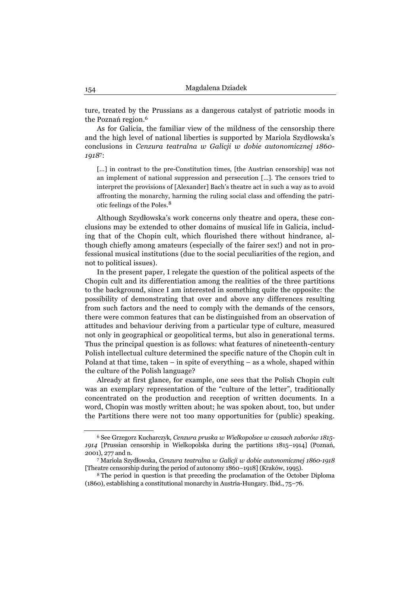ture, treated by the Prussians as a dangerous catalyst of patriotic moods in the Poznań region.6

As for Galicia, the familiar view of the mildness of the censorship there and the high level of national liberties is supported by Mariola Szydłowska's conclusions in *Cenzura teatralna w Galicji w dobie autonomicznej 1860- 1918*7:

[...] in contrast to the pre-Constitution times, [the Austrian censorship] was not an implement of national suppression and persecution […]. The censors tried to interpret the provisions of [Alexander] Bach's theatre act in such a way as to avoid affronting the monarchy, harming the ruling social class and offending the patriotic feelings of the Poles.8

Although Szydłowska's work concerns only theatre and opera, these conclusions may be extended to other domains of musical life in Galicia, including that of the Chopin cult, which flourished there without hindrance, although chiefly among amateurs (especially of the fairer sex!) and not in professional musical institutions (due to the social peculiarities of the region, and not to political issues).

In the present paper, I relegate the question of the political aspects of the Chopin cult and its differentiation among the realities of the three partitions to the background, since I am interested in something quite the opposite: the possibility of demonstrating that over and above any differences resulting from such factors and the need to comply with the demands of the censors, there were common features that can be distinguished from an observation of attitudes and behaviour deriving from a particular type of culture, measured not only in geographical or geopolitical terms, but also in generational terms. Thus the principal question is as follows: what features of nineteenth-century Polish intellectual culture determined the specific nature of the Chopin cult in Poland at that time, taken – in spite of everything – as a whole, shaped within the culture of the Polish language?

Already at first glance, for example, one sees that the Polish Chopin cult was an exemplary representation of the "culture of the letter", traditionally concentrated on the production and reception of written documents. In a word, Chopin was mostly written about; he was spoken about, too, but under the Partitions there were not too many opportunities for (public) speaking.

<sup>6</sup> See Grzegorz Kucharczyk, *Cenzura pruska w Wielkopolsce w czasach zaborów 1815- 1914* [Prussian censorship in Wielkopolska during the partitions 1815–1914] (Poznań, 2001), 277 and n. 7 Mariola Szydłowska, *Cenzura teatralna w Galicji w dobie autonomicznej 1860-1918* 

<sup>[</sup>Theatre censorship during the period of autonomy 1860–1918] (Kraków, 1995). 8 The period in question is that preceding the proclamation of the October Diploma

<sup>(1860),</sup> establishing a constitutional monarchy in Austria-Hungary. Ibid., 75–76.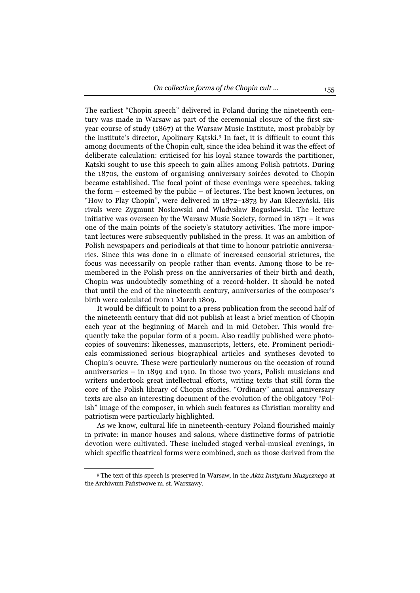The earliest "Chopin speech" delivered in Poland during the nineteenth century was made in Warsaw as part of the ceremonial closure of the first sixyear course of study (1867) at the Warsaw Music Institute, most probably by the institute's director, Apolinary Kątski.9 In fact, it is difficult to count this among documents of the Chopin cult, since the idea behind it was the effect of deliberate calculation: criticised for his loyal stance towards the partitioner, Kątski sought to use this speech to gain allies among Polish patriots. During the 1870s, the custom of organising anniversary soirées devoted to Chopin became established. The focal point of these evenings were speeches, taking the form – esteemed by the public – of lectures. The best known lectures, on "How to Play Chopin", were delivered in 1872–1873 by Jan Kleczyński. His rivals were Zygmunt Noskowski and Władysław Bogusławski. The lecture initiative was overseen by the Warsaw Music Society, formed in 1871 – it was one of the main points of the society's statutory activities. The more important lectures were subsequently published in the press. It was an ambition of Polish newspapers and periodicals at that time to honour patriotic anniversaries. Since this was done in a climate of increased censorial strictures, the focus was necessarily on people rather than events. Among those to be remembered in the Polish press on the anniversaries of their birth and death, Chopin was undoubtedly something of a record-holder. It should be noted that until the end of the nineteenth century, anniversaries of the composer's birth were calculated from 1 March 1809.

It would be difficult to point to a press publication from the second half of the nineteenth century that did not publish at least a brief mention of Chopin each year at the beginning of March and in mid October. This would frequently take the popular form of a poem. Also readily published were photocopies of souvenirs: likenesses, manuscripts, letters, etc. Prominent periodicals commissioned serious biographical articles and syntheses devoted to Chopin's oeuvre. These were particularly numerous on the occasion of round anniversaries – in 1899 and 1910. In those two years, Polish musicians and writers undertook great intellectual efforts, writing texts that still form the core of the Polish library of Chopin studies. "Ordinary" annual anniversary texts are also an interesting document of the evolution of the obligatory "Polish" image of the composer, in which such features as Christian morality and patriotism were particularly highlighted.

As we know, cultural life in nineteenth-century Poland flourished mainly in private: in manor houses and salons, where distinctive forms of patriotic devotion were cultivated. These included staged verbal-musical evenings, in which specific theatrical forms were combined, such as those derived from the

<sup>9</sup> The text of this speech is preserved in Warsaw, in the *Akta Instytutu Muzycznego* at the Archiwum Państwowe m. st. Warszawy.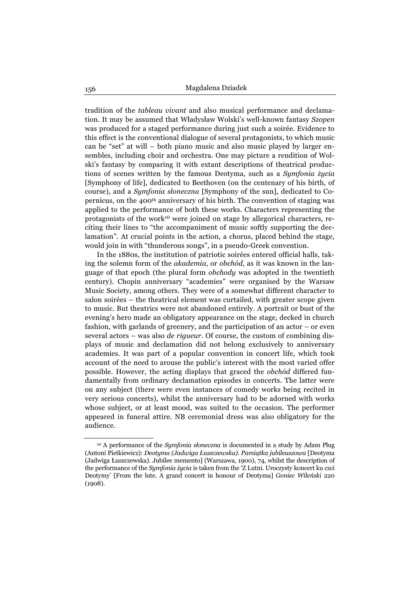tradition of the *tableau vivant* and also musical performance and declamation. It may be assumed that Władysław Wolski's well-known fantasy *Szopen*  was produced for a staged performance during just such a soirée. Evidence to this effect is the conventional dialogue of several protagonists, to which music can be "set" at will – both piano music and also music played by larger ensembles, including choir and orchestra. One may picture a rendition of Wolski's fantasy by comparing it with extant descriptions of theatrical productions of scenes written by the famous Deotyma, such as a *Symfonia życia*  [Symphony of life], dedicated to Beethoven (on the centenary of his birth, of course), and a *Symfonia słoneczna* [Symphony of the sun], dedicated to Copernicus, on the 400th anniversary of his birth. The convention of staging was applied to the performance of both these works. Characters representing the protagonists of the work<sup>10</sup> were joined on stage by allegorical characters, reciting their lines to "the accompaniment of music softly supporting the declamation". At crucial points in the action, a chorus, placed behind the stage, would join in with "thunderous songs", in a pseudo-Greek convention.

In the 1880s, the institution of patriotic soirées entered official halls, taking the solemn form of the *akademia*, or *obchód*, as it was known in the language of that epoch (the plural form *obchody* was adopted in the twentieth century). Chopin anniversary "academies" were organised by the Warsaw Music Society, among others. They were of a somewhat different character to salon soirées – the theatrical element was curtailed, with greater scope given to music. But theatrics were not abandoned entirely. A portrait or bust of the evening's hero made an obligatory appearance on the stage, decked in church fashion, with garlands of greenery, and the participation of an actor – or even several actors – was also *de rigueur*. Of course, the custom of combining displays of music and declamation did not belong exclusively to anniversary academies. It was part of a popular convention in concert life, which took account of the need to arouse the public's interest with the most varied offer possible. However, the acting displays that graced the *obchód* differed fundamentally from ordinary declamation episodes in concerts. The latter were on any subject (there were even instances of comedy works being recited in very serious concerts), whilst the anniversary had to be adorned with works whose subject, or at least mood, was suited to the occasion. The performer appeared in funeral attire. NB ceremonial dress was also obligatory for the audience.

<sup>10</sup> A performance of the *Symfonia słoneczna* is documented in a study by Adam Pług (Antoni Pietkiewicz): *Deotyma (Jadwiga Łuszczewska). Pamiątka jubileuszowa* [Deotyma (Jadwiga Łuszczewska). Jubilee memento] (Warszawa, 1900), 74, whilst the description of the performance of the *Symfonia życia* is taken from the 'Z Lutni. Uroczysty koncert ku czci Deotymy' [From the lute. A grand concert in honour of Deotyma] *Goniec Wileński* 220  $(1908)$ .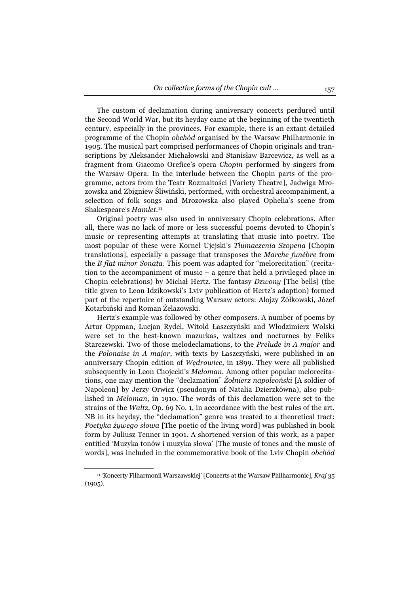The custom of declamation during anniversary concerts perdured until the Second World War, but its heyday came at the beginning of the twentieth century, especially in the provinces. For example, there is an extant detailed programme of the Chopin *obchód* organised by the Warsaw Philharmonic in 1905. The musical part comprised performances of Chopin originals and transcriptions by Aleksander Michałowski and Stanisław Barcewicz, as well as a fragment from Giacomo Orefice's opera *Chopin* performed by singers from the Warsaw Opera. In the interlude between the Chopin parts of the programme, actors from the Teatr Rozmaitości [Variety Theatre], Jadwiga Mrozowska and Zbigniew Śliwiński, performed, with orchestral accompaniment, a selection of folk songs and Mrozowska also played Ophelia's scene from Shakespeare's *Hamlet*. 11

Original poetry was also used in anniversary Chopin celebrations. After all, there was no lack of more or less successful poems devoted to Chopin's music or representing attempts at translating that music into poetry. The most popular of these were Kornel Ujejski's *Tłumaczenia Szopena* [Chopin translations], especially a passage that transposes the *Marche funèbre* from the *B flat minor Sonata*. This poem was adapted for "melorecitation" (recitation to the accompaniment of music – a genre that held a privileged place in Chopin celebrations) by Michał Hertz. The fantasy *Dzwony* [The bells] (the title given to Leon Idzikowski's Lviv publication of Hertz's adaption) formed part of the repertoire of outstanding Warsaw actors: Alojzy Żółkowski, Józef Kotarbiński and Roman Żelazowski.

Hertz's example was followed by other composers. A number of poems by Artur Oppman, Lucjan Rydel, Witold Łaszczyński and Włodzimierz Wolski were set to the best-known mazurkas, waltzes and nocturnes by Feliks Starczewski. Two of those melodeclamations, to the *Prelude in A major* and the *Polonaise in A major*, with texts by Łaszczyński, were published in an anniversary Chopin edition of *Wędrowiec*, in 1899. They were all published subsequently in Leon Chojecki's *Meloman*. Among other popular melorecitations, one may mention the "declamation" *Żołnierz napoleoński* [A soldier of Napoleon] by Jerzy Orwicz (pseudonym of Natalia Dzierzkówna), also published in *Meloman*, in 1910. The words of this declamation were set to the strains of the *Waltz*, Op. 69 No. 1, in accordance with the best rules of the art. NB in its heyday, the "declamation" genre was treated to a theoretical tract: *Poetyka żywego słowa* [The poetic of the living word] was published in book form by Juliusz Tenner in 1901. A shortened version of this work, as a paper entitled 'Muzyka tonów i muzyka słowa' [The music of tones and the music of words], was included in the commemorative book of the Lviv Chopin *obchód* 

<sup>11 &#</sup>x27;Koncerty Filharmonii Warszawskiej' [Concerts at the Warsaw Philharmonic], *Kraj* 35 (1905).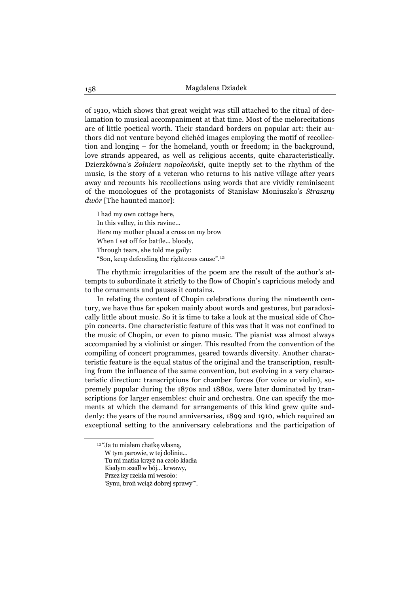of 1910, which shows that great weight was still attached to the ritual of declamation to musical accompaniment at that time. Most of the melorecitations are of little poetical worth. Their standard borders on popular art: their authors did not venture beyond clichéd images employing the motif of recollection and longing – for the homeland, youth or freedom; in the background, love strands appeared, as well as religious accents, quite characteristically. Dzierzkówna's *Żołnierz napoleoński*, quite ineptly set to the rhythm of the music, is the story of a veteran who returns to his native village after years away and recounts his recollections using words that are vividly reminiscent of the monologues of the protagonists of Stanisław Moniuszko's *Straszny dwór* [The haunted manor]:

I had my own cottage here, In this valley, in this ravine… Here my mother placed a cross on my brow When I set off for battle… bloody, Through tears, she told me gaily: "Son, keep defending the righteous cause".<sup>12</sup>

The rhythmic irregularities of the poem are the result of the author's attempts to subordinate it strictly to the flow of Chopin's capricious melody and to the ornaments and pauses it contains.

In relating the content of Chopin celebrations during the nineteenth century, we have thus far spoken mainly about words and gestures, but paradoxically little about music. So it is time to take a look at the musical side of Chopin concerts. One characteristic feature of this was that it was not confined to the music of Chopin, or even to piano music. The pianist was almost always accompanied by a violinist or singer. This resulted from the convention of the compiling of concert programmes, geared towards diversity. Another characteristic feature is the equal status of the original and the transcription, resulting from the influence of the same convention, but evolving in a very characteristic direction: transcriptions for chamber forces (for voice or violin), supremely popular during the 1870s and 1880s, were later dominated by transcriptions for larger ensembles: choir and orchestra. One can specify the moments at which the demand for arrangements of this kind grew quite suddenly: the years of the round anniversaries, 1899 and 1910, which required an exceptional setting to the anniversary celebrations and the participation of

<sup>12 &</sup>quot;Ja tu miałem chatkę własną, W tym parowie, w tej dolinie…

Tu mi matka krzyż na czoło kładła

Kiedym szedł w bój… krwawy,

Przez łzy rzekła mi wesoło:

<sup>&#</sup>x27;Synu, broń wciąż dobrej sprawy'".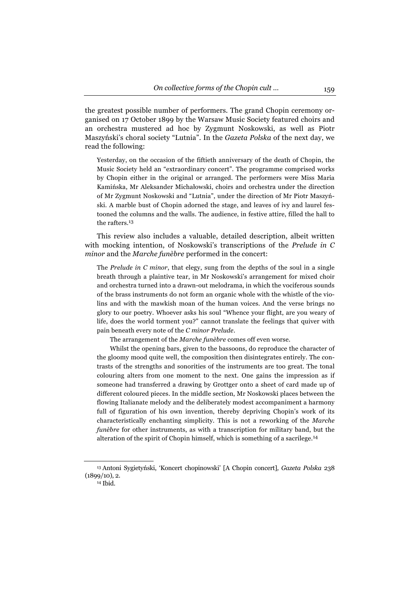the greatest possible number of performers. The grand Chopin ceremony organised on 17 October 1899 by the Warsaw Music Society featured choirs and an orchestra mustered ad hoc by Zygmunt Noskowski, as well as Piotr Maszyński's choral society "Lutnia". In the *Gazeta Polska* of the next day, we read the following:

Yesterday, on the occasion of the fiftieth anniversary of the death of Chopin, the Music Society held an "extraordinary concert". The programme comprised works by Chopin either in the original or arranged. The performers were Miss Maria Kamińska, Mr Aleksander Michałowski, choirs and orchestra under the direction of Mr Zygmunt Noskowski and "Lutnia", under the direction of Mr Piotr Maszyński. A marble bust of Chopin adorned the stage, and leaves of ivy and laurel festooned the columns and the walls. The audience, in festive attire, filled the hall to the rafters.<sup>13</sup>

This review also includes a valuable, detailed description, albeit written with mocking intention, of Noskowski's transcriptions of the *Prelude in C minor* and the *Marche funèbre* performed in the concert:

The *Prelude in C minor*, that elegy, sung from the depths of the soul in a single breath through a plaintive tear, in Mr Noskowski's arrangement for mixed choir and orchestra turned into a drawn-out melodrama, in which the vociferous sounds of the brass instruments do not form an organic whole with the whistle of the violins and with the mawkish moan of the human voices. And the verse brings no glory to our poetry. Whoever asks his soul "Whence your flight, are you weary of life, does the world torment you?" cannot translate the feelings that quiver with pain beneath every note of the *C minor Prelude*.

The arrangement of the *Marche funèbre* comes off even worse.

Whilst the opening bars, given to the bassoons, do reproduce the character of the gloomy mood quite well, the composition then disintegrates entirely. The contrasts of the strengths and sonorities of the instruments are too great. The tonal colouring alters from one moment to the next. One gains the impression as if someone had transferred a drawing by Grottger onto a sheet of card made up of different coloured pieces. In the middle section, Mr Noskowski places between the flowing Italianate melody and the deliberately modest accompaniment a harmony full of figuration of his own invention, thereby depriving Chopin's work of its characteristically enchanting simplicity. This is not a reworking of the *Marche funèbre* for other instruments, as with a transcription for military band, but the alteration of the spirit of Chopin himself, which is something of a sacrilege.<sup>14</sup>

<sup>13</sup> Antoni Sygietyński, 'Koncert chopinowski' [A Chopin concert]*, Gazeta Polska* 238  $(1899/10), 2.$ <sup>14</sup> Ibid.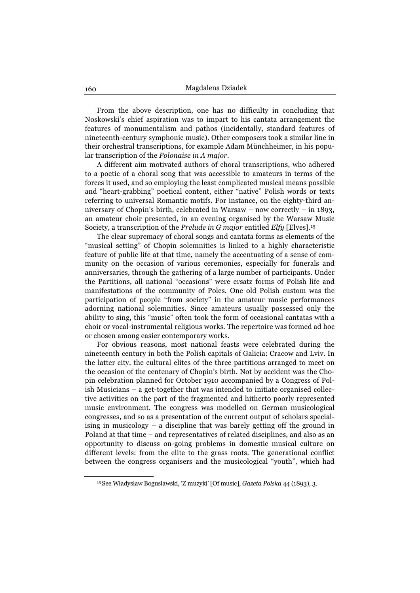From the above description, one has no difficulty in concluding that Noskowski's chief aspiration was to impart to his cantata arrangement the features of monumentalism and pathos (incidentally, standard features of nineteenth-century symphonic music). Other composers took a similar line in their orchestral transcriptions, for example Adam Münchheimer, in his popular transcription of the *Polonaise in A major*.

A different aim motivated authors of choral transcriptions, who adhered to a poetic of a choral song that was accessible to amateurs in terms of the forces it used, and so employing the least complicated musical means possible and "heart-grabbing" poetical content, either "native" Polish words or texts referring to universal Romantic motifs. For instance, on the eighty-third anniversary of Chopin's birth, celebrated in Warsaw – now correctly – in 1893, an amateur choir presented, in an evening organised by the Warsaw Music Society, a transcription of the *Prelude in G major* entitled *Elfy* [Elves].15

The clear supremacy of choral songs and cantata forms as elements of the "musical setting" of Chopin solemnities is linked to a highly characteristic feature of public life at that time, namely the accentuating of a sense of community on the occasion of various ceremonies, especially for funerals and anniversaries, through the gathering of a large number of participants. Under the Partitions, all national "occasions" were ersatz forms of Polish life and manifestations of the community of Poles. One old Polish custom was the participation of people "from society" in the amateur music performances adorning national solemnities. Since amateurs usually possessed only the ability to sing, this "music" often took the form of occasional cantatas with a choir or vocal-instrumental religious works. The repertoire was formed ad hoc or chosen among easier contemporary works.

For obvious reasons, most national feasts were celebrated during the nineteenth century in both the Polish capitals of Galicia: Cracow and Lviv. In the latter city, the cultural elites of the three partitions arranged to meet on the occasion of the centenary of Chopin's birth. Not by accident was the Chopin celebration planned for October 1910 accompanied by a Congress of Polish Musicians – a get-together that was intended to initiate organised collective activities on the part of the fragmented and hitherto poorly represented music environment. The congress was modelled on German musicological congresses, and so as a presentation of the current output of scholars specialising in musicology – a discipline that was barely getting off the ground in Poland at that time – and representatives of related disciplines, and also as an opportunity to discuss on-going problems in domestic musical culture on different levels: from the elite to the grass roots. The generational conflict between the congress organisers and the musicological "youth", which had

<sup>15</sup> See Władysław Bogusławski, 'Z muzyki' [Of music], *Gazeta Polska* 44 (1893), 3.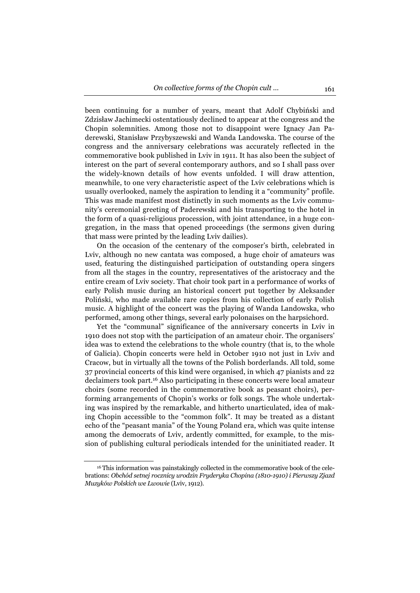been continuing for a number of years, meant that Adolf Chybiński and Zdzisław Jachimecki ostentatiously declined to appear at the congress and the Chopin solemnities. Among those not to disappoint were Ignacy Jan Paderewski, Stanisław Przybyszewski and Wanda Landowska. The course of the congress and the anniversary celebrations was accurately reflected in the commemorative book published in Lviv in 1911. It has also been the subject of interest on the part of several contemporary authors, and so I shall pass over the widely-known details of how events unfolded. I will draw attention, meanwhile, to one very characteristic aspect of the Lviv celebrations which is usually overlooked, namely the aspiration to lending it a "community" profile. This was made manifest most distinctly in such moments as the Lviv community's ceremonial greeting of Paderewski and his transporting to the hotel in the form of a quasi-religious procession, with joint attendance, in a huge congregation, in the mass that opened proceedings (the sermons given during that mass were printed by the leading Lviv dailies).

On the occasion of the centenary of the composer's birth, celebrated in Lviv, although no new cantata was composed, a huge choir of amateurs was used, featuring the distinguished participation of outstanding opera singers from all the stages in the country, representatives of the aristocracy and the entire cream of Lviv society. That choir took part in a performance of works of early Polish music during an historical concert put together by Aleksander Poliński, who made available rare copies from his collection of early Polish music. A highlight of the concert was the playing of Wanda Landowska, who performed, among other things, several early polonaises on the harpsichord.

Yet the "communal" significance of the anniversary concerts in Lviv in 1910 does not stop with the participation of an amateur choir. The organisers' idea was to extend the celebrations to the whole country (that is, to the whole of Galicia). Chopin concerts were held in October 1910 not just in Lviv and Cracow, but in virtually all the towns of the Polish borderlands. All told, some 37 provincial concerts of this kind were organised, in which 47 pianists and 22 declaimers took part.16 Also participating in these concerts were local amateur choirs (some recorded in the commemorative book as peasant choirs), performing arrangements of Chopin's works or folk songs. The whole undertaking was inspired by the remarkable, and hitherto unarticulated, idea of making Chopin accessible to the "common folk". It may be treated as a distant echo of the "peasant mania" of the Young Poland era, which was quite intense among the democrats of Lviv, ardently committed, for example, to the mission of publishing cultural periodicals intended for the uninitiated reader. It

<sup>16</sup> This information was painstakingly collected in the commemorative book of the celebrations: *Obchód setnej rocznicy urodzin Fryderyka Chopina (1810-1910) i Pierwszy Zjazd Muzyków Polskich we Lwowie* (Lviv, 1912).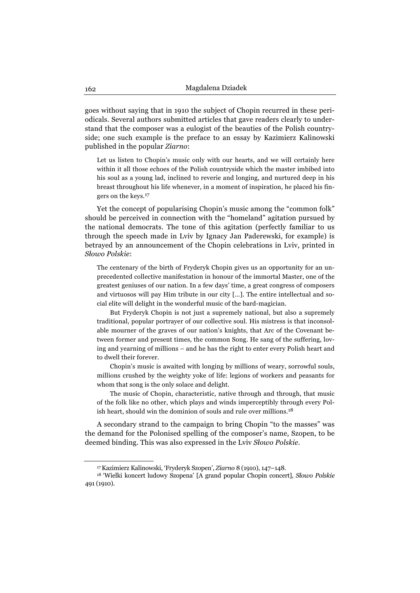goes without saying that in 1910 the subject of Chopin recurred in these periodicals. Several authors submitted articles that gave readers clearly to understand that the composer was a eulogist of the beauties of the Polish countryside; one such example is the preface to an essay by Kazimierz Kalinowski published in the popular *Ziarno*:

Let us listen to Chopin's music only with our hearts, and we will certainly here within it all those echoes of the Polish countryside which the master imbibed into his soul as a young lad, inclined to reverie and longing, and nurtured deep in his breast throughout his life whenever, in a moment of inspiration, he placed his fingers on the keys.17

Yet the concept of popularising Chopin's music among the "common folk" should be perceived in connection with the "homeland" agitation pursued by the national democrats. The tone of this agitation (perfectly familiar to us through the speech made in Lviv by Ignacy Jan Paderewski, for example) is betrayed by an announcement of the Chopin celebrations in Lviv, printed in *Słowo Polskie*:

The centenary of the birth of Fryderyk Chopin gives us an opportunity for an unprecedented collective manifestation in honour of the immortal Master, one of the greatest geniuses of our nation. In a few days' time, a great congress of composers and virtuosos will pay Him tribute in our city […]. The entire intellectual and social elite will delight in the wonderful music of the bard-magician.

But Fryderyk Chopin is not just a supremely national, but also a supremely traditional, popular portrayer of our collective soul. His mistress is that inconsolable mourner of the graves of our nation's knights, that Arc of the Covenant between former and present times, the common Song. He sang of the suffering, loving and yearning of millions – and he has the right to enter every Polish heart and to dwell their forever.

Chopin's music is awaited with longing by millions of weary, sorrowful souls, millions crushed by the weighty yoke of life: legions of workers and peasants for whom that song is the only solace and delight.

The music of Chopin, characteristic, native through and through, that music of the folk like no other, which plays and winds imperceptibly through every Polish heart, should win the dominion of souls and rule over millions.<sup>18</sup>

A secondary strand to the campaign to bring Chopin "to the masses" was the demand for the Polonised spelling of the composer's name, Szopen, to be deemed binding. This was also expressed in the Lviv *Słowo Polskie*.

<sup>17</sup> Kazimierz Kalinowski, 'Fryderyk Szopen', *Ziarno* 8 (1910), 147–148. 18 'Wielki koncert ludowy Szopena' [A grand popular Chopin concert]*, Słowo Polskie* 491 (1910).